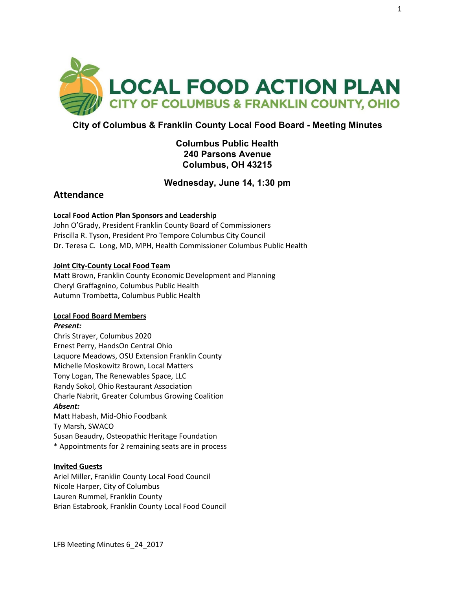

# **City of Columbus & Franklin County Local Food Board - Meeting Minutes**

# **Columbus Public Health 240 Parsons Avenue Columbus, OH 43215**

# **Wednesday, June 14, 1:30 pm**

# **Attendance**

## **Local Food Action Plan Sponsors and Leadership**

John O'Grady, President Franklin County Board of Commissioners Priscilla R. Tyson, President Pro Tempore Columbus City Council Dr. Teresa C. Long, MD, MPH, Health Commissioner Columbus Public Health

## **Joint City-County Local Food Team**

Matt Brown, Franklin County Economic Development and Planning Cheryl Graffagnino, Columbus Public Health Autumn Trombetta, Columbus Public Health

### **Local Food Board Members**

### *Present:*

Chris Strayer, Columbus 2020 Ernest Perry, HandsOn Central Ohio Laquore Meadows, OSU Extension Franklin County Michelle Moskowitz Brown, Local Matters Tony Logan, The Renewables Space, LLC Randy Sokol, Ohio Restaurant Association Charle Nabrit, Greater Columbus Growing Coalition *Absent:* Matt Habash, Mid-Ohio Foodbank Ty Marsh, SWACO Susan Beaudry, Osteopathic Heritage Foundation

\* Appointments for 2 remaining seats are in process

### **Invited Guests**

Ariel Miller, Franklin County Local Food Council Nicole Harper, City of Columbus Lauren Rummel, Franklin County Brian Estabrook, Franklin County Local Food Council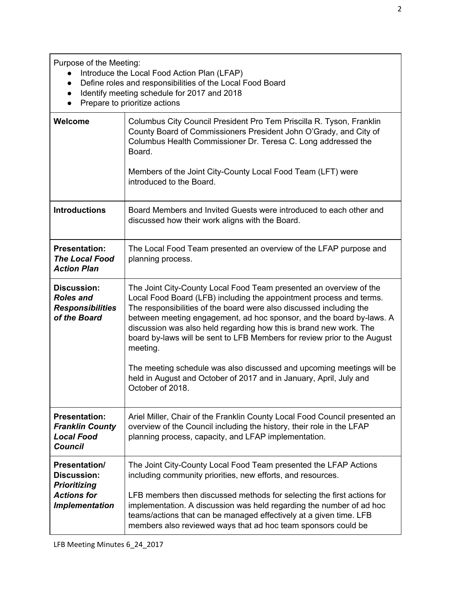Purpose of the Meeting:

- Introduce the Local Food Action Plan (LFAP)
- Define roles and responsibilities of the Local Food Board
- Identify meeting schedule for 2017 and 2018
- Prepare to prioritize actions

| Welcome                                                                                                          | Columbus City Council President Pro Tem Priscilla R. Tyson, Franklin<br>County Board of Commissioners President John O'Grady, and City of<br>Columbus Health Commissioner Dr. Teresa C. Long addressed the<br>Board.<br>Members of the Joint City-County Local Food Team (LFT) were<br>introduced to the Board.                                                                                                                                                                                                                                                                                                           |
|------------------------------------------------------------------------------------------------------------------|---------------------------------------------------------------------------------------------------------------------------------------------------------------------------------------------------------------------------------------------------------------------------------------------------------------------------------------------------------------------------------------------------------------------------------------------------------------------------------------------------------------------------------------------------------------------------------------------------------------------------|
| <b>Introductions</b>                                                                                             | Board Members and Invited Guests were introduced to each other and<br>discussed how their work aligns with the Board.                                                                                                                                                                                                                                                                                                                                                                                                                                                                                                     |
| <b>Presentation:</b><br><b>The Local Food</b><br><b>Action Plan</b>                                              | The Local Food Team presented an overview of the LFAP purpose and<br>planning process.                                                                                                                                                                                                                                                                                                                                                                                                                                                                                                                                    |
| <b>Discussion:</b><br><b>Roles and</b><br><b>Responsibilities</b><br>of the Board                                | The Joint City-County Local Food Team presented an overview of the<br>Local Food Board (LFB) including the appointment process and terms.<br>The responsibilities of the board were also discussed including the<br>between meeting engagement, ad hoc sponsor, and the board by-laws. A<br>discussion was also held regarding how this is brand new work. The<br>board by-laws will be sent to LFB Members for review prior to the August<br>meeting.<br>The meeting schedule was also discussed and upcoming meetings will be<br>held in August and October of 2017 and in January, April, July and<br>October of 2018. |
| <b>Presentation:</b><br><b>Franklin County</b><br><b>Local Food</b><br><b>Council</b>                            | Ariel Miller, Chair of the Franklin County Local Food Council presented an<br>overview of the Council including the history, their role in the LFAP<br>planning process, capacity, and LFAP implementation.                                                                                                                                                                                                                                                                                                                                                                                                               |
| <b>Presentation/</b><br><b>Discussion:</b><br><b>Prioritizing</b><br><b>Actions for</b><br><b>Implementation</b> | The Joint City-County Local Food Team presented the LFAP Actions<br>including community priorities, new efforts, and resources.<br>LFB members then discussed methods for selecting the first actions for<br>implementation. A discussion was held regarding the number of ad hoc<br>teams/actions that can be managed effectively at a given time. LFB<br>members also reviewed ways that ad hoc team sponsors could be                                                                                                                                                                                                  |